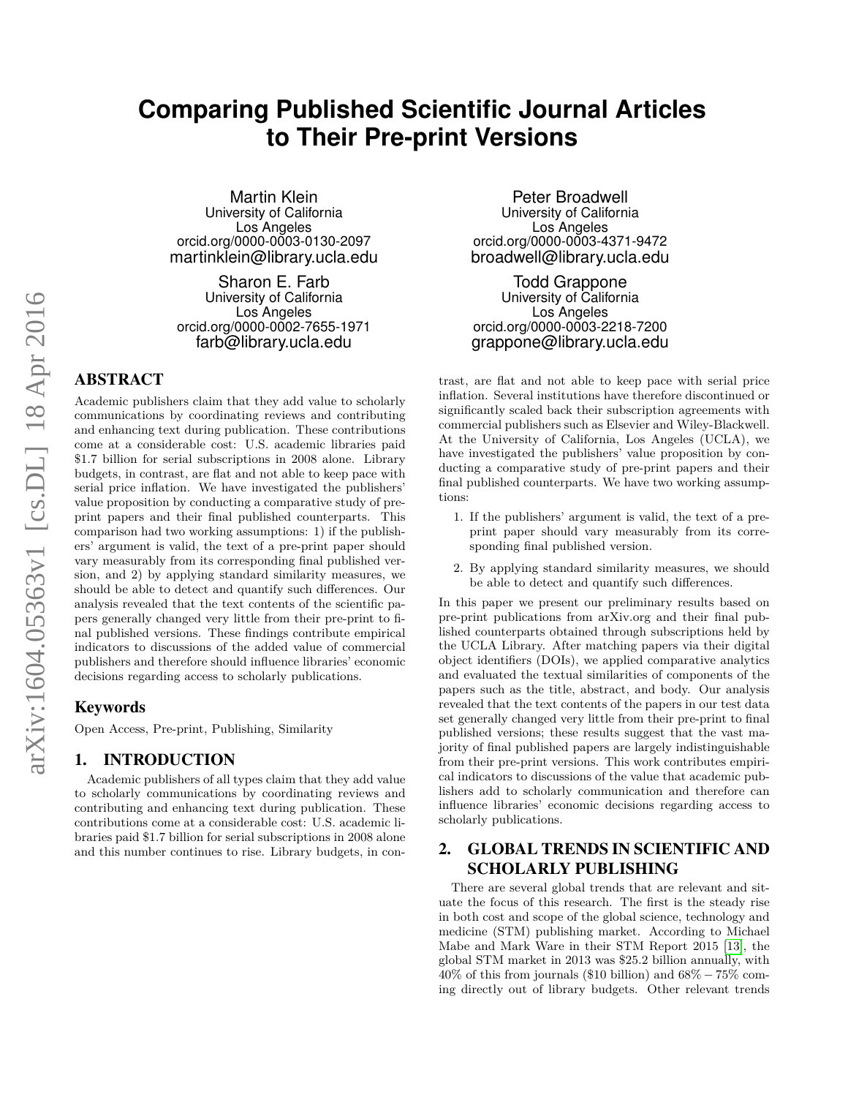# **Comparing Published Scientific Journal Articles to Their Pre-print Versions**

Martin Klein University of California Los Angeles orcid.org/0000-0003-0130-2097 martinklein@library.ucla.edu

Sharon E. Farb University of California Los Angeles orcid.org/0000-0002-7655-1971 farb@library.ucla.edu

# ABSTRACT

Academic publishers claim that they add value to scholarly communications by coordinating reviews and contributing and enhancing text during publication. These contributions come at a considerable cost: U.S. academic libraries paid \$1*.*7 billion for serial subscriptions in 2008 alone. Library budgets, in contrast, are flat and not able to keep pace with serial price inflation. We have investigated the publishers' value proposition by conducting a comparative study of preprint papers and their final published counterparts. This comparison had two working assumptions: 1) if the publishers' argument is valid, the text of a pre-print paper should vary measurably from its corresponding final published version, and 2) by applying standard similarity measures, we should be able to detect and quantify such differences. Our analysis revealed that the text contents of the scientific papers generally changed very little from their pre-print to final published versions. These findings contribute empirical indicators to discussions of the added value of commercial publishers and therefore should influence libraries' economic decisions regarding access to scholarly publications.

## Keywords

Open Access, Pre-print, Publishing, Similarity

#### 1. INTRODUCTION

Academic publishers of all types claim that they add value to scholarly communications by coordinating reviews and contributing and enhancing text during publication. These contributions come at a considerable cost: U.S. academic libraries paid \$1*.*7 billion for serial subscriptions in 2008 alone and this number continues to rise. Library budgets, in con-

Peter Broadwell University of California Los Angeles orcid.org/0000-0003-4371-9472 broadwell@library.ucla.edu

Todd Grappone University of California Los Angeles orcid.org/0000-0003-2218-7200 grappone@library.ucla.edu

trast, are flat and not able to keep pace with serial price inflation. Several institutions have therefore discontinued or significantly scaled back their subscription agreements with commercial publishers such as Elsevier and Wiley-Blackwell. At the University of California, Los Angeles (UCLA), we have investigated the publishers' value proposition by conducting a comparative study of pre-print papers and their final published counterparts. We have two working assumptions:

- 1. If the publishers' argument is valid, the text of a preprint paper should vary measurably from its corresponding final published version.
- 2. By applying standard similarity measures, we should be able to detect and quantify such differences.

In this paper we present our preliminary results based on pre-print publications from arXiv.org and their final published counterparts obtained through subscriptions held by the UCLA Library. After matching papers via their digital object identifiers (DOIs), we applied comparative analytics and evaluated the textual similarities of components of the papers such as the title, abstract, and body. Our analysis revealed that the text contents of the papers in our test data set generally changed very little from their pre-print to final published versions; these results suggest that the vast majority of final published papers are largely indistinguishable from their pre-print versions. This work contributes empirical indicators to discussions of the value that academic publishers add to scholarly communication and therefore can influence libraries' economic decisions regarding access to scholarly publications.

# 2. GLOBAL TRENDS IN SCIENTIFIC AND SCHOLARLY PUBLISHING

There are several global trends that are relevant and situate the focus of this research. The first is the steady rise in both cost and scope of the global science, technology and medicine (STM) publishing market. According to Michael Mabe and Mark Ware in their STM Report 2015 [\[13\]](#page-9-0), the global STM market in 2013 was \$25*.*2 billion annually, with  $40\%$  of this from journals (\$10 billion) and  $68\% - 75\%$  coming directly out of library budgets. Other relevant trends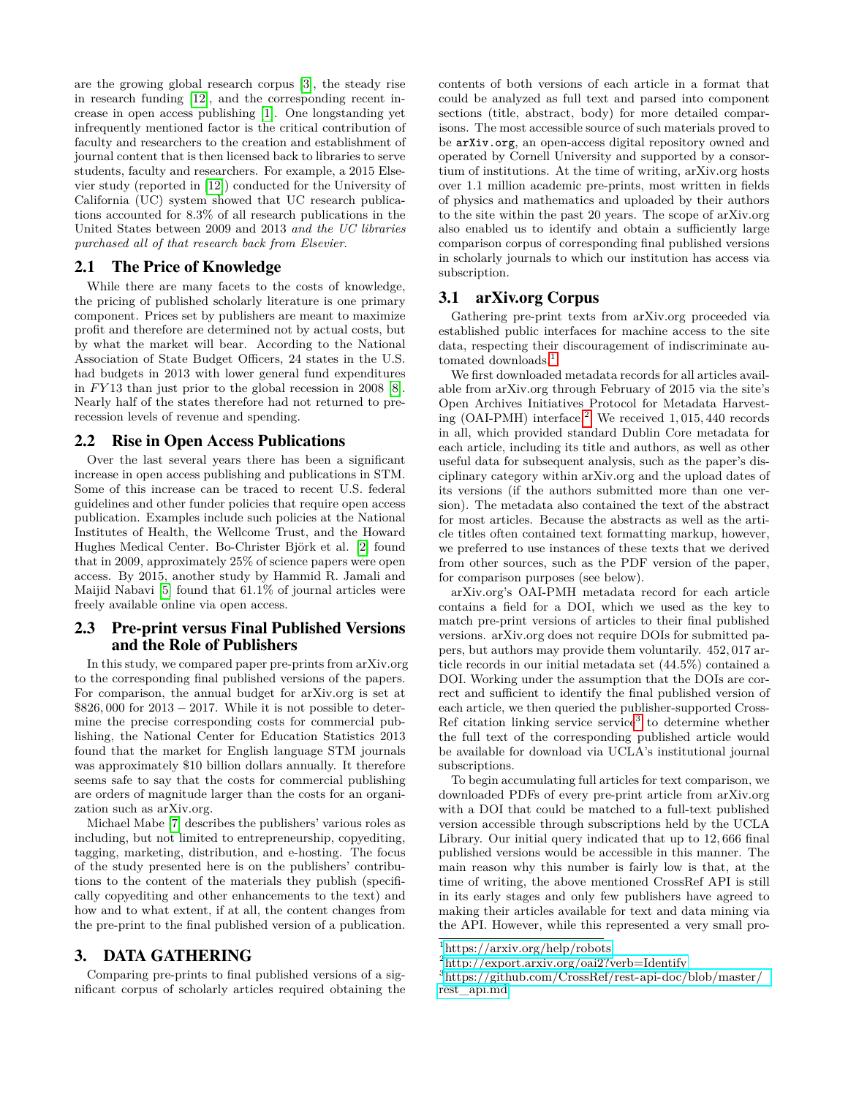are the growing global research corpus [\[3\]](#page-9-1), the steady rise in research funding [\[12\]](#page-9-2), and the corresponding recent increase in open access publishing [\[1\]](#page-9-3). One longstanding yet infrequently mentioned factor is the critical contribution of faculty and researchers to the creation and establishment of journal content that is then licensed back to libraries to serve students, faculty and researchers. For example, a 2015 Elsevier study (reported in [\[12\]](#page-9-2)) conducted for the University of California (UC) system showed that UC research publications accounted for 8*.*3% of all research publications in the United States between 2009 and 2013 *and the UC libraries purchased all of that research back from Elsevier*.

#### 2.1 The Price of Knowledge

While there are many facets to the costs of knowledge, the pricing of published scholarly literature is one primary component. Prices set by publishers are meant to maximize profit and therefore are determined not by actual costs, but by what the market will bear. According to the National Association of State Budget Officers, 24 states in the U.S. had budgets in 2013 with lower general fund expenditures in *F Y* 13 than just prior to the global recession in 2008 [\[8\]](#page-9-4). Nearly half of the states therefore had not returned to prerecession levels of revenue and spending.

#### 2.2 Rise in Open Access Publications

Over the last several years there has been a significant increase in open access publishing and publications in STM. Some of this increase can be traced to recent U.S. federal guidelines and other funder policies that require open access publication. Examples include such policies at the National Institutes of Health, the Wellcome Trust, and the Howard Hughes Medical Center. Bo-Christer Björk et al. [\[2\]](#page-9-5) found that in 2009, approximately 25% of science papers were open access. By 2015, another study by Hammid R. Jamali and Maijid Nabavi [\[5\]](#page-9-6) found that 61*.*1% of journal articles were freely available online via open access.

#### 2.3 Pre-print versus Final Published Versions and the Role of Publishers

In this study, we compared paper pre-prints from arXiv.org to the corresponding final published versions of the papers. For comparison, the annual budget for arXiv.org is set at \$826*,* 000 for 2013 − 2017. While it is not possible to determine the precise corresponding costs for commercial publishing, the National Center for Education Statistics 2013 found that the market for English language STM journals was approximately \$10 billion dollars annually. It therefore seems safe to say that the costs for commercial publishing are orders of magnitude larger than the costs for an organization such as arXiv.org.

Michael Mabe [\[7\]](#page-9-7) describes the publishers' various roles as including, but not limited to entrepreneurship, copyediting, tagging, marketing, distribution, and e-hosting. The focus of the study presented here is on the publishers' contributions to the content of the materials they publish (specifically copyediting and other enhancements to the text) and how and to what extent, if at all, the content changes from the pre-print to the final published version of a publication.

#### 3. DATA GATHERING

Comparing pre-prints to final published versions of a significant corpus of scholarly articles required obtaining the contents of both versions of each article in a format that could be analyzed as full text and parsed into component sections (title, abstract, body) for more detailed comparisons. The most accessible source of such materials proved to be arXiv.org, an open-access digital repository owned and operated by Cornell University and supported by a consortium of institutions. At the time of writing, arXiv.org hosts over 1*.*1 million academic pre-prints, most written in fields of physics and mathematics and uploaded by their authors to the site within the past 20 years. The scope of arXiv.org also enabled us to identify and obtain a sufficiently large comparison corpus of corresponding final published versions in scholarly journals to which our institution has access via subscription.

#### 3.1 arXiv.org Corpus

Gathering pre-print texts from arXiv.org proceeded via established public interfaces for machine access to the site data, respecting their discouragement of indiscriminate au-tomated downloads.<sup>[1](#page-1-0)</sup>

We first downloaded metadata records for all articles available from arXiv.org through February of 2015 via the site's Open Archives Initiatives Protocol for Metadata Harvesting (OAI-PMH) interface.[2](#page-1-1) We received 1*,* 015*,* 440 records in all, which provided standard Dublin Core metadata for each article, including its title and authors, as well as other useful data for subsequent analysis, such as the paper's disciplinary category within arXiv.org and the upload dates of its versions (if the authors submitted more than one version). The metadata also contained the text of the abstract for most articles. Because the abstracts as well as the article titles often contained text formatting markup, however, we preferred to use instances of these texts that we derived from other sources, such as the PDF version of the paper, for comparison purposes (see below).

arXiv.org's OAI-PMH metadata record for each article contains a field for a DOI, which we used as the key to match pre-print versions of articles to their final published versions. arXiv.org does not require DOIs for submitted papers, but authors may provide them voluntarily. 452*,* 017 article records in our initial metadata set (44*.*5%) contained a DOI. Working under the assumption that the DOIs are correct and sufficient to identify the final published version of each article, we then queried the publisher-supported Cross-Ref citation linking service service<sup>[3](#page-1-2)</sup> to determine whether the full text of the corresponding published article would be available for download via UCLA's institutional journal subscriptions.

To begin accumulating full articles for text comparison, we downloaded PDFs of every pre-print article from arXiv.org with a DOI that could be matched to a full-text published version accessible through subscriptions held by the UCLA Library. Our initial query indicated that up to 12*,* 666 final published versions would be accessible in this manner. The main reason why this number is fairly low is that, at the time of writing, the above mentioned CrossRef API is still in its early stages and only few publishers have agreed to making their articles available for text and data mining via the API. However, while this represented a very small pro-

<span id="page-1-0"></span><sup>1</sup><https://arxiv.org/help/robots>

<span id="page-1-1"></span><sup>2</sup><http://export.arxiv.org/oai2?verb=Identify>

<span id="page-1-2"></span><sup>3</sup>[https://github.com/CrossRef/rest-api-doc/blob/master/](https://github.com/CrossRef/rest-api-doc/blob/master/rest_api.md) [rest\\_api.md](https://github.com/CrossRef/rest-api-doc/blob/master/rest_api.md)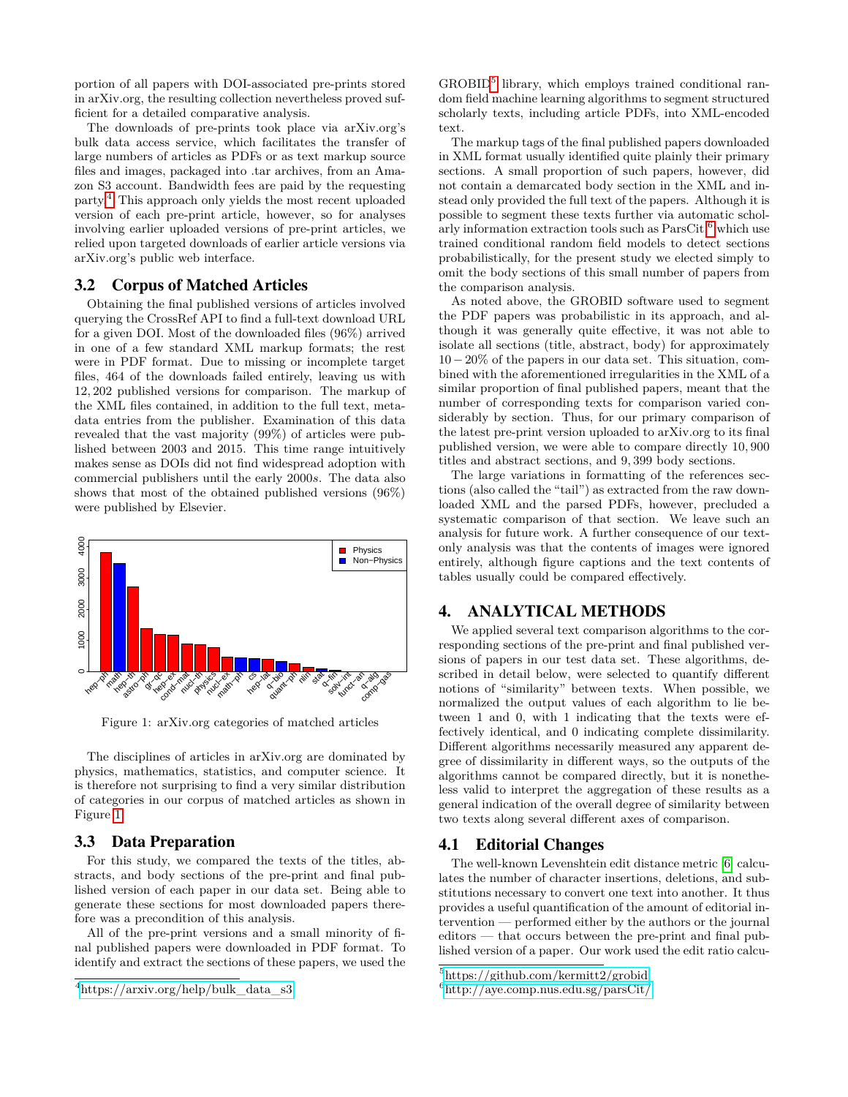portion of all papers with DOI-associated pre-prints stored in arXiv.org, the resulting collection nevertheless proved sufficient for a detailed comparative analysis.

The downloads of pre-prints took place via arXiv.org's bulk data access service, which facilitates the transfer of large numbers of articles as PDFs or as text markup source files and images, packaged into .tar archives, from an Amazon S3 account. Bandwidth fees are paid by the requesting party.[4](#page-2-0) This approach only yields the most recent uploaded version of each pre-print article, however, so for analyses involving earlier uploaded versions of pre-print articles, we relied upon targeted downloads of earlier article versions via arXiv.org's public web interface.

#### 3.2 Corpus of Matched Articles

Obtaining the final published versions of articles involved querying the CrossRef API to find a full-text download URL for a given DOI. Most of the downloaded files (96%) arrived in one of a few standard XML markup formats; the rest were in PDF format. Due to missing or incomplete target files, 464 of the downloads failed entirely, leaving us with 12*,* 202 published versions for comparison. The markup of the XML files contained, in addition to the full text, metadata entries from the publisher. Examination of this data revealed that the vast majority (99%) of articles were published between 2003 and 2015. This time range intuitively makes sense as DOIs did not find widespread adoption with commercial publishers until the early 2000*s*. The data also shows that most of the obtained published versions (96%) were published by Elsevier.

<span id="page-2-1"></span>

Figure 1: arXiv.org categories of matched articles

The disciplines of articles in arXiv.org are dominated by physics, mathematics, statistics, and computer science. It is therefore not surprising to find a very similar distribution of categories in our corpus of matched articles as shown in Figure [1.](#page-2-1)

## 3.3 Data Preparation

For this study, we compared the texts of the titles, abstracts, and body sections of the pre-print and final published version of each paper in our data set. Being able to generate these sections for most downloaded papers therefore was a precondition of this analysis.

All of the pre-print versions and a small minority of final published papers were downloaded in PDF format. To identify and extract the sections of these papers, we used the

GROBID<sup>[5](#page-2-2)</sup> library, which employs trained conditional random field machine learning algorithms to segment structured scholarly texts, including article PDFs, into XML-encoded text.

The markup tags of the final published papers downloaded in XML format usually identified quite plainly their primary sections. A small proportion of such papers, however, did not contain a demarcated body section in the XML and instead only provided the full text of the papers. Although it is possible to segment these texts further via automatic scholarly information extraction tools such as  $ParsCit, \textsuperscript{6}$  $ParsCit, \textsuperscript{6}$  $ParsCit, \textsuperscript{6}$  which use trained conditional random field models to detect sections probabilistically, for the present study we elected simply to omit the body sections of this small number of papers from the comparison analysis.

As noted above, the GROBID software used to segment the PDF papers was probabilistic in its approach, and although it was generally quite effective, it was not able to isolate all sections (title, abstract, body) for approximately 10−20% of the papers in our data set. This situation, combined with the aforementioned irregularities in the XML of a similar proportion of final published papers, meant that the number of corresponding texts for comparison varied considerably by section. Thus, for our primary comparison of the latest pre-print version uploaded to arXiv.org to its final published version, we were able to compare directly 10*,* 900 titles and abstract sections, and 9*,* 399 body sections.

The large variations in formatting of the references sections (also called the "tail") as extracted from the raw downloaded XML and the parsed PDFs, however, precluded a systematic comparison of that section. We leave such an analysis for future work. A further consequence of our textonly analysis was that the contents of images were ignored entirely, although figure captions and the text contents of tables usually could be compared effectively.

#### <span id="page-2-4"></span>4. ANALYTICAL METHODS

We applied several text comparison algorithms to the corresponding sections of the pre-print and final published versions of papers in our test data set. These algorithms, described in detail below, were selected to quantify different notions of "similarity" between texts. When possible, we normalized the output values of each algorithm to lie between 1 and 0, with 1 indicating that the texts were effectively identical, and 0 indicating complete dissimilarity. Different algorithms necessarily measured any apparent degree of dissimilarity in different ways, so the outputs of the algorithms cannot be compared directly, but it is nonetheless valid to interpret the aggregation of these results as a general indication of the overall degree of similarity between two texts along several different axes of comparison.

## 4.1 Editorial Changes

The well-known Levenshtein edit distance metric [\[6\]](#page-9-8) calculates the number of character insertions, deletions, and substitutions necessary to convert one text into another. It thus provides a useful quantification of the amount of editorial intervention — performed either by the authors or the journal editors — that occurs between the pre-print and final published version of a paper. Our work used the edit ratio calcu-

<span id="page-2-0"></span><sup>4</sup>[https://arxiv.org/help/bulk\\_data\\_s3](https://arxiv.org/help/bulk_data_s3)

<span id="page-2-2"></span><sup>5</sup><https://github.com/kermitt2/grobid>

<span id="page-2-3"></span><sup>6</sup><http://aye.comp.nus.edu.sg/parsCit/>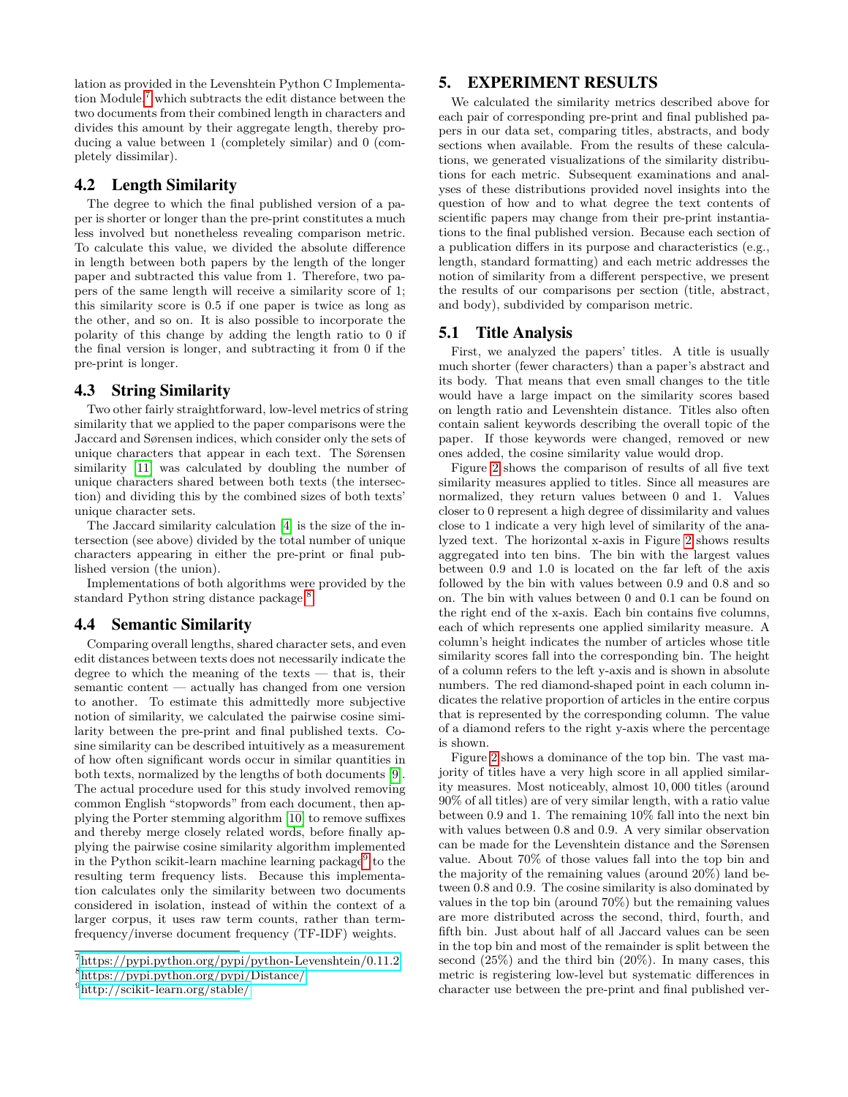lation as provided in the Levenshtein Python C Implementation Module, $7 \text{ which subtracts the edit distance between the}$  $7 \text{ which subtracts the edit distance between the}$ two documents from their combined length in characters and divides this amount by their aggregate length, thereby producing a value between 1 (completely similar) and 0 (completely dissimilar).

#### 4.2 Length Similarity

The degree to which the final published version of a paper is shorter or longer than the pre-print constitutes a much less involved but nonetheless revealing comparison metric. To calculate this value, we divided the absolute difference in length between both papers by the length of the longer paper and subtracted this value from 1. Therefore, two papers of the same length will receive a similarity score of 1; this similarity score is 0*.*5 if one paper is twice as long as the other, and so on. It is also possible to incorporate the polarity of this change by adding the length ratio to 0 if the final version is longer, and subtracting it from 0 if the pre-print is longer.

#### 4.3 String Similarity

Two other fairly straightforward, low-level metrics of string similarity that we applied to the paper comparisons were the Jaccard and Sørensen indices, which consider only the sets of unique characters that appear in each text. The Sørensen similarity [\[11\]](#page-9-9) was calculated by doubling the number of unique characters shared between both texts (the intersection) and dividing this by the combined sizes of both texts' unique character sets.

The Jaccard similarity calculation [\[4\]](#page-9-10) is the size of the intersection (see above) divided by the total number of unique characters appearing in either the pre-print or final published version (the union).

Implementations of both algorithms were provided by the standard Python string distance package.<sup>[8](#page-3-1)</sup>

#### 4.4 Semantic Similarity

Comparing overall lengths, shared character sets, and even edit distances between texts does not necessarily indicate the degree to which the meaning of the texts — that is, their semantic content — actually has changed from one version to another. To estimate this admittedly more subjective notion of similarity, we calculated the pairwise cosine similarity between the pre-print and final published texts. Cosine similarity can be described intuitively as a measurement of how often significant words occur in similar quantities in both texts, normalized by the lengths of both documents [\[9\]](#page-9-11). The actual procedure used for this study involved removing common English "stopwords" from each document, then applying the Porter stemming algorithm [\[10\]](#page-9-12) to remove suffixes and thereby merge closely related words, before finally applying the pairwise cosine similarity algorithm implemented in the Python scikit-learn machine learning package<sup>[9](#page-3-2)</sup> to the resulting term frequency lists. Because this implementation calculates only the similarity between two documents considered in isolation, instead of within the context of a larger corpus, it uses raw term counts, rather than termfrequency/inverse document frequency (TF-IDF) weights.

<span id="page-3-2"></span><sup>9</sup><http://scikit-learn.org/stable/>

#### 5. EXPERIMENT RESULTS

We calculated the similarity metrics described above for each pair of corresponding pre-print and final published papers in our data set, comparing titles, abstracts, and body sections when available. From the results of these calculations, we generated visualizations of the similarity distributions for each metric. Subsequent examinations and analyses of these distributions provided novel insights into the question of how and to what degree the text contents of scientific papers may change from their pre-print instantiations to the final published version. Because each section of a publication differs in its purpose and characteristics (e.g., length, standard formatting) and each metric addresses the notion of similarity from a different perspective, we present the results of our comparisons per section (title, abstract, and body), subdivided by comparison metric.

#### 5.1 Title Analysis

First, we analyzed the papers' titles. A title is usually much shorter (fewer characters) than a paper's abstract and its body. That means that even small changes to the title would have a large impact on the similarity scores based on length ratio and Levenshtein distance. Titles also often contain salient keywords describing the overall topic of the paper. If those keywords were changed, removed or new ones added, the cosine similarity value would drop.

Figure [2](#page-4-0) shows the comparison of results of all five text similarity measures applied to titles. Since all measures are normalized, they return values between 0 and 1. Values closer to 0 represent a high degree of dissimilarity and values close to 1 indicate a very high level of similarity of the analyzed text. The horizontal x-axis in Figure [2](#page-4-0) shows results aggregated into ten bins. The bin with the largest values between 0*.*9 and 1*.*0 is located on the far left of the axis followed by the bin with values between 0*.*9 and 0*.*8 and so on. The bin with values between 0 and 0*.*1 can be found on the right end of the x-axis. Each bin contains five columns, each of which represents one applied similarity measure. A column's height indicates the number of articles whose title similarity scores fall into the corresponding bin. The height of a column refers to the left y-axis and is shown in absolute numbers. The red diamond-shaped point in each column indicates the relative proportion of articles in the entire corpus that is represented by the corresponding column. The value of a diamond refers to the right y-axis where the percentage is shown.

Figure [2](#page-4-0) shows a dominance of the top bin. The vast majority of titles have a very high score in all applied similarity measures. Most noticeably, almost 10*,* 000 titles (around 90% of all titles) are of very similar length, with a ratio value between 0*.*9 and 1. The remaining 10% fall into the next bin with values between 0*.*8 and 0*.*9. A very similar observation can be made for the Levenshtein distance and the Sørensen value. About 70% of those values fall into the top bin and the majority of the remaining values (around 20%) land between 0*.*8 and 0*.*9. The cosine similarity is also dominated by values in the top bin (around 70%) but the remaining values are more distributed across the second, third, fourth, and fifth bin. Just about half of all Jaccard values can be seen in the top bin and most of the remainder is split between the second (25%) and the third bin (20%). In many cases, this metric is registering low-level but systematic differences in character use between the pre-print and final published ver-

<span id="page-3-1"></span><span id="page-3-0"></span><sup>7</sup><https://pypi.python.org/pypi/python-Levenshtein/0.11.2> <sup>8</sup><https://pypi.python.org/pypi/Distance/>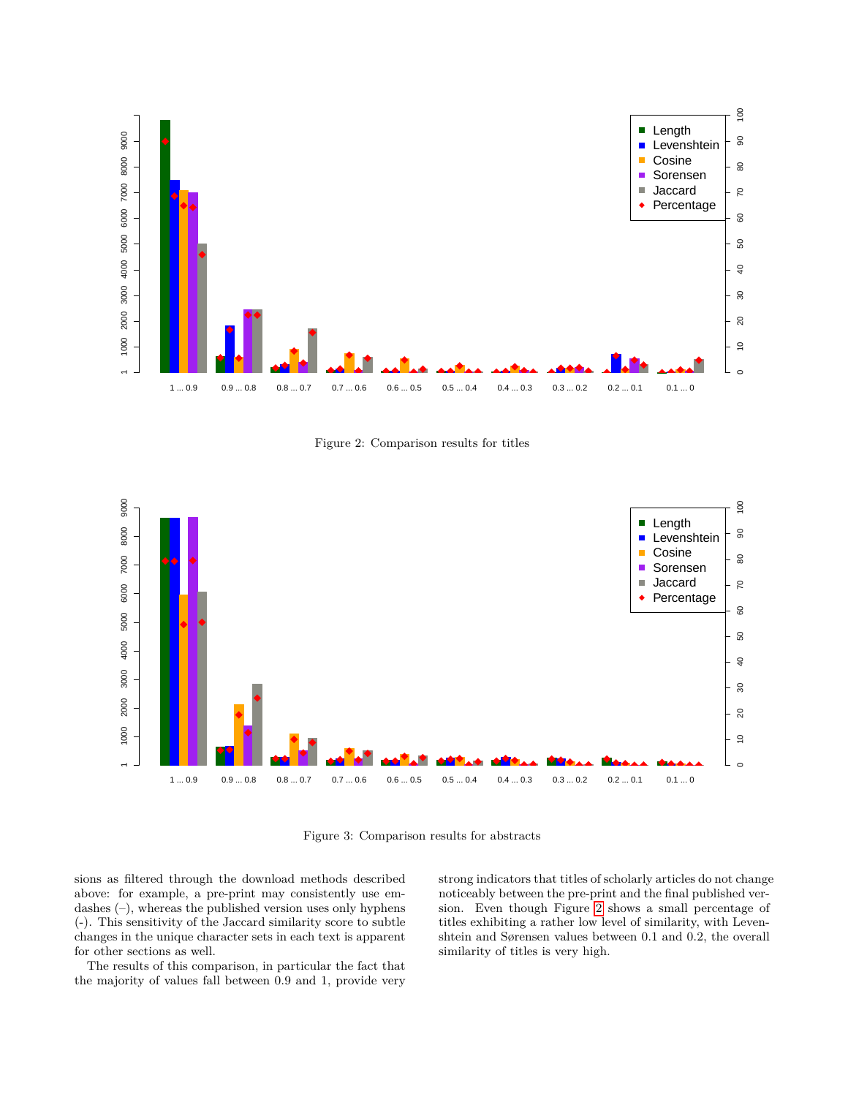<span id="page-4-0"></span>

Figure 2: Comparison results for titles

<span id="page-4-1"></span>

Figure 3: Comparison results for abstracts

sions as filtered through the download methods described above: for example, a pre-print may consistently use emdashes (–), whereas the published version uses only hyphens (-). This sensitivity of the Jaccard similarity score to subtle changes in the unique character sets in each text is apparent for other sections as well.

The results of this comparison, in particular the fact that the majority of values fall between 0*.*9 and 1, provide very

strong indicators that titles of scholarly articles do not change noticeably between the pre-print and the final published version. Even though Figure [2](#page-4-0) shows a small percentage of titles exhibiting a rather low level of similarity, with Levenshtein and Sørensen values between 0*.*1 and 0*.*2, the overall similarity of titles is very high.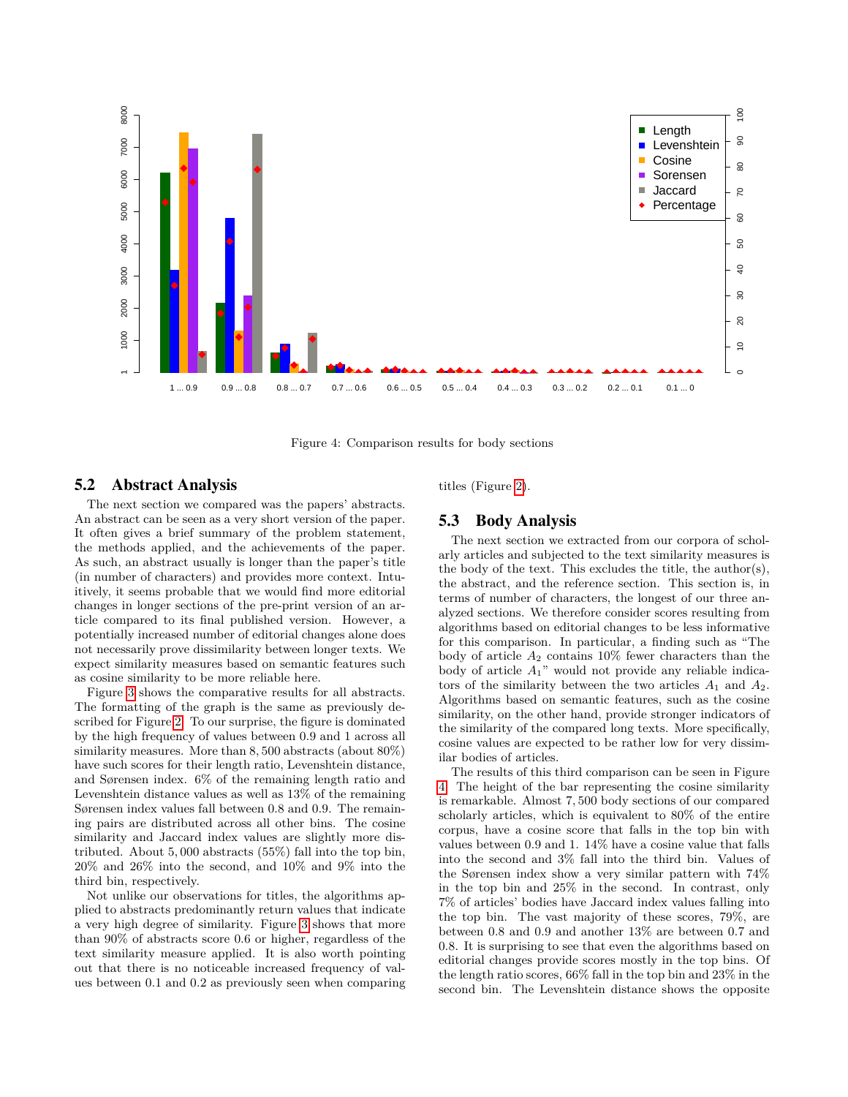<span id="page-5-0"></span>

Figure 4: Comparison results for body sections

#### 5.2 Abstract Analysis

The next section we compared was the papers' abstracts. An abstract can be seen as a very short version of the paper. It often gives a brief summary of the problem statement, the methods applied, and the achievements of the paper. As such, an abstract usually is longer than the paper's title (in number of characters) and provides more context. Intuitively, it seems probable that we would find more editorial changes in longer sections of the pre-print version of an article compared to its final published version. However, a potentially increased number of editorial changes alone does not necessarily prove dissimilarity between longer texts. We expect similarity measures based on semantic features such as cosine similarity to be more reliable here.

Figure [3](#page-4-1) shows the comparative results for all abstracts. The formatting of the graph is the same as previously described for Figure [2.](#page-4-0) To our surprise, the figure is dominated by the high frequency of values between 0*.*9 and 1 across all similarity measures. More than 8*,* 500 abstracts (about 80%) have such scores for their length ratio, Levenshtein distance, and Sørensen index. 6% of the remaining length ratio and Levenshtein distance values as well as 13% of the remaining Sørensen index values fall between 0*.*8 and 0*.*9. The remaining pairs are distributed across all other bins. The cosine similarity and Jaccard index values are slightly more distributed. About 5*,* 000 abstracts (55%) fall into the top bin, 20% and 26% into the second, and 10% and 9% into the third bin, respectively.

Not unlike our observations for titles, the algorithms applied to abstracts predominantly return values that indicate a very high degree of similarity. Figure [3](#page-4-1) shows that more than 90% of abstracts score 0*.*6 or higher, regardless of the text similarity measure applied. It is also worth pointing out that there is no noticeable increased frequency of values between 0*.*1 and 0*.*2 as previously seen when comparing titles (Figure [2\)](#page-4-0).

#### <span id="page-5-1"></span>5.3 Body Analysis

The next section we extracted from our corpora of scholarly articles and subjected to the text similarity measures is the body of the text. This excludes the title, the author(s), the abstract, and the reference section. This section is, in terms of number of characters, the longest of our three analyzed sections. We therefore consider scores resulting from algorithms based on editorial changes to be less informative for this comparison. In particular, a finding such as "The body of article *A*<sup>2</sup> contains 10% fewer characters than the body of article *A*1" would not provide any reliable indicators of the similarity between the two articles  $A_1$  and  $A_2$ . Algorithms based on semantic features, such as the cosine similarity, on the other hand, provide stronger indicators of the similarity of the compared long texts. More specifically, cosine values are expected to be rather low for very dissimilar bodies of articles.

The results of this third comparison can be seen in Figure [4.](#page-5-0) The height of the bar representing the cosine similarity is remarkable. Almost 7*,* 500 body sections of our compared scholarly articles, which is equivalent to 80% of the entire corpus, have a cosine score that falls in the top bin with values between 0*.*9 and 1. 14% have a cosine value that falls into the second and 3% fall into the third bin. Values of the Sørensen index show a very similar pattern with 74% in the top bin and 25% in the second. In contrast, only 7% of articles' bodies have Jaccard index values falling into the top bin. The vast majority of these scores, 79%, are between 0*.*8 and 0*.*9 and another 13% are between 0*.*7 and 0*.*8. It is surprising to see that even the algorithms based on editorial changes provide scores mostly in the top bins. Of the length ratio scores, 66% fall in the top bin and 23% in the second bin. The Levenshtein distance shows the opposite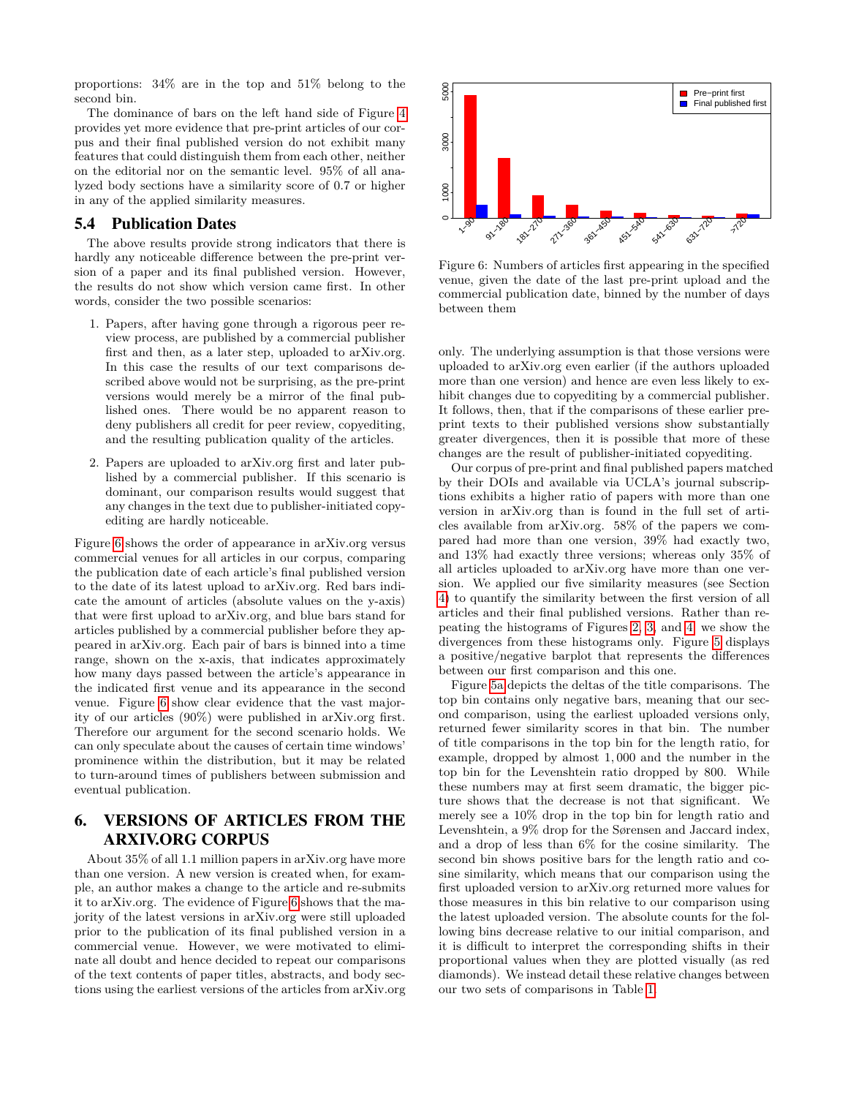proportions: 34% are in the top and 51% belong to the second bin.

The dominance of bars on the left hand side of Figure [4](#page-5-0) provides yet more evidence that pre-print articles of our corpus and their final published version do not exhibit many features that could distinguish them from each other, neither on the editorial nor on the semantic level. 95% of all analyzed body sections have a similarity score of 0*.*7 or higher in any of the applied similarity measures.

#### <span id="page-6-1"></span>5.4 Publication Dates

The above results provide strong indicators that there is hardly any noticeable difference between the pre-print version of a paper and its final published version. However, the results do not show which version came first. In other words, consider the two possible scenarios:

- 1. Papers, after having gone through a rigorous peer review process, are published by a commercial publisher first and then, as a later step, uploaded to arXiv.org. In this case the results of our text comparisons described above would not be surprising, as the pre-print versions would merely be a mirror of the final published ones. There would be no apparent reason to deny publishers all credit for peer review, copyediting, and the resulting publication quality of the articles.
- 2. Papers are uploaded to arXiv.org first and later published by a commercial publisher. If this scenario is dominant, our comparison results would suggest that any changes in the text due to publisher-initiated copyediting are hardly noticeable.

Figure [6](#page-6-0) shows the order of appearance in arXiv.org versus commercial venues for all articles in our corpus, comparing the publication date of each article's final published version to the date of its latest upload to arXiv.org. Red bars indicate the amount of articles (absolute values on the y-axis) that were first upload to arXiv.org, and blue bars stand for articles published by a commercial publisher before they appeared in arXiv.org. Each pair of bars is binned into a time range, shown on the x-axis, that indicates approximately how many days passed between the article's appearance in the indicated first venue and its appearance in the second venue. Figure [6](#page-6-0) show clear evidence that the vast majority of our articles (90%) were published in arXiv.org first. Therefore our argument for the second scenario holds. We can only speculate about the causes of certain time windows' prominence within the distribution, but it may be related to turn-around times of publishers between submission and eventual publication.

# 6. VERSIONS OF ARTICLES FROM THE ARXIV.ORG CORPUS

About 35% of all 1*.*1 million papers in arXiv.org have more than one version. A new version is created when, for example, an author makes a change to the article and re-submits it to arXiv.org. The evidence of Figure [6](#page-6-0) shows that the majority of the latest versions in arXiv.org were still uploaded prior to the publication of its final published version in a commercial venue. However, we were motivated to eliminate all doubt and hence decided to repeat our comparisons of the text contents of paper titles, abstracts, and body sections using the earliest versions of the articles from arXiv.org

<span id="page-6-0"></span>

Figure 6: Numbers of articles first appearing in the specified venue, given the date of the last pre-print upload and the commercial publication date, binned by the number of days between them

only. The underlying assumption is that those versions were uploaded to arXiv.org even earlier (if the authors uploaded more than one version) and hence are even less likely to exhibit changes due to copyediting by a commercial publisher. It follows, then, that if the comparisons of these earlier preprint texts to their published versions show substantially greater divergences, then it is possible that more of these changes are the result of publisher-initiated copyediting.

Our corpus of pre-print and final published papers matched by their DOIs and available via UCLA's journal subscriptions exhibits a higher ratio of papers with more than one version in arXiv.org than is found in the full set of articles available from arXiv.org. 58% of the papers we compared had more than one version, 39% had exactly two, and 13% had exactly three versions; whereas only 35% of all articles uploaded to arXiv.org have more than one version. We applied our five similarity measures (see Section [4\)](#page-2-4) to quantify the similarity between the first version of all articles and their final published versions. Rather than repeating the histograms of Figures [2,](#page-4-0) [3,](#page-4-1) and [4,](#page-5-0) we show the divergences from these histograms only. Figure [5](#page-7-0) displays a positive/negative barplot that represents the differences between our first comparison and this one.

Figure [5a](#page-7-0) depicts the deltas of the title comparisons. The top bin contains only negative bars, meaning that our second comparison, using the earliest uploaded versions only, returned fewer similarity scores in that bin. The number of title comparisons in the top bin for the length ratio, for example, dropped by almost 1*,* 000 and the number in the top bin for the Levenshtein ratio dropped by 800. While these numbers may at first seem dramatic, the bigger picture shows that the decrease is not that significant. We merely see a 10% drop in the top bin for length ratio and Levenshtein, a 9% drop for the Sørensen and Jaccard index, and a drop of less than 6% for the cosine similarity. The second bin shows positive bars for the length ratio and cosine similarity, which means that our comparison using the first uploaded version to arXiv.org returned more values for those measures in this bin relative to our comparison using the latest uploaded version. The absolute counts for the following bins decrease relative to our initial comparison, and it is difficult to interpret the corresponding shifts in their proportional values when they are plotted visually (as red diamonds). We instead detail these relative changes between our two sets of comparisons in Table [1.](#page-8-0)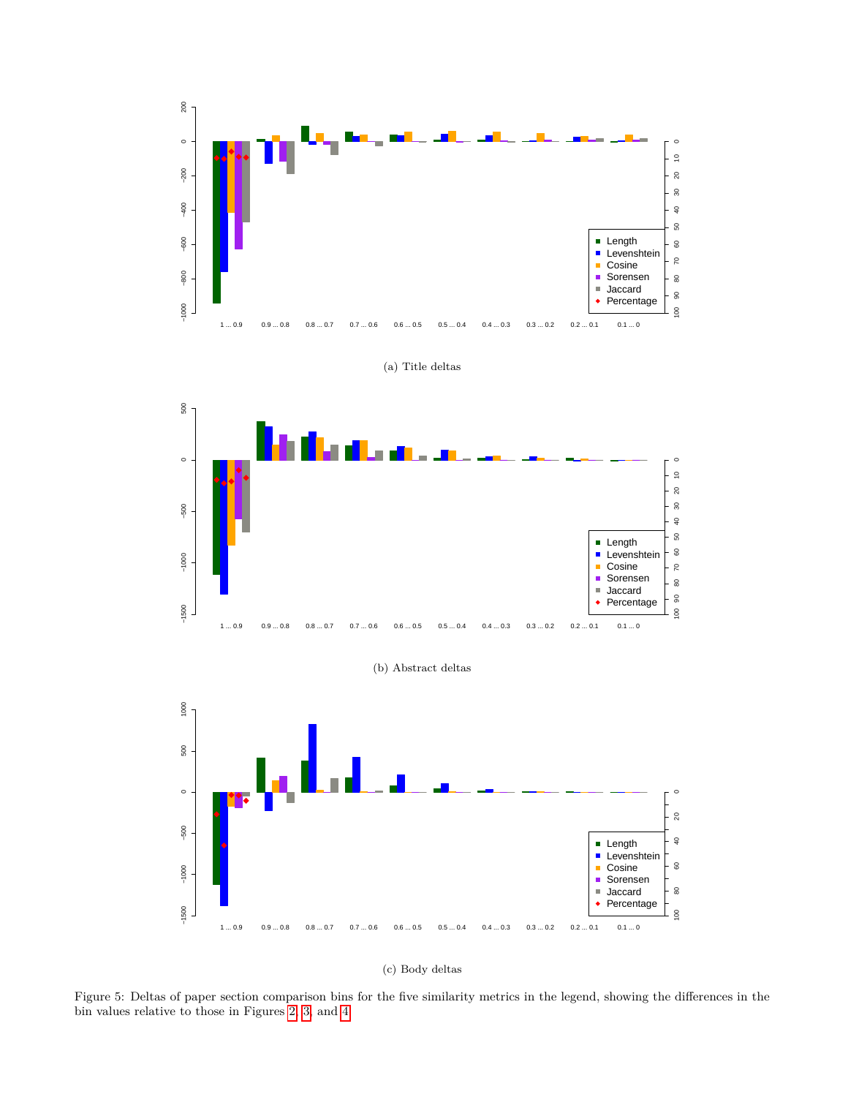<span id="page-7-0"></span>





(b) Abstract deltas





Figure 5: Deltas of paper section comparison bins for the five similarity metrics in the legend, showing the differences in the bin values relative to those in Figures [2,](#page-4-0) [3,](#page-4-1) and [4](#page-5-0)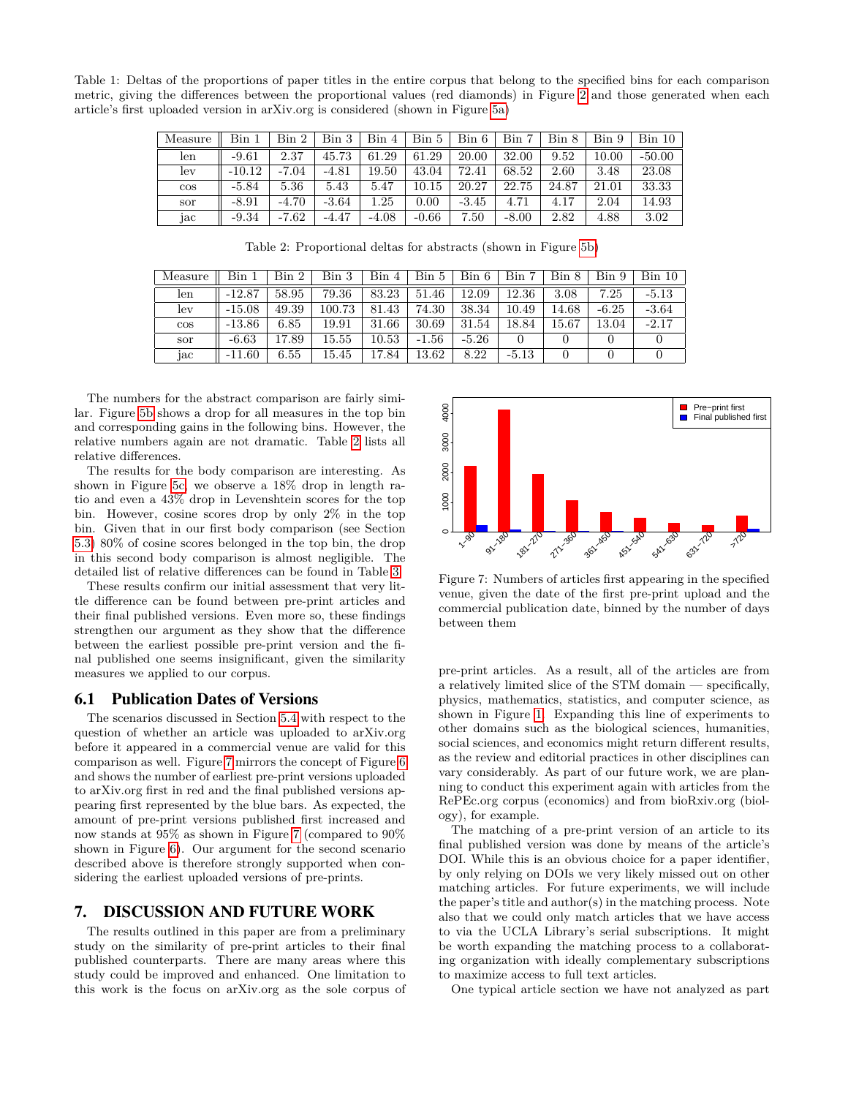<span id="page-8-0"></span>Table 1: Deltas of the proportions of paper titles in the entire corpus that belong to the specified bins for each comparison metric, giving the differences between the proportional values (red diamonds) in Figure [2](#page-4-0) and those generated when each article's first uploaded version in arXiv.org is considered (shown in Figure [5a\)](#page-7-0)

| Measure | Bin      | Bin 2   | Bin 3   | Bin 4   | Bin 5     | Bin 6   | Bin     | Bin 8 | Bin 9 | Bin 10   |
|---------|----------|---------|---------|---------|-----------|---------|---------|-------|-------|----------|
| len     | $-9.61$  | 2.37    | 45.73   | 61.29   | 61.29     | 20.00   | 32.00   | 9.52  | 10.00 | $-50.00$ |
| lev     | $-10.12$ | $-7.04$ | $-4.81$ | 19.50   | 43.04     | 72.41   | 68.52   | 2.60  | 3.48  | 23.08    |
| $\cos$  | $-5.84$  | 5.36    | 5.43    | 5.47    | $10.15\,$ | 20.27   | 22.75   | 24.87 | 21.01 | 33.33    |
| sor     | $-8.91$  | $-4.70$ | $-3.64$ | 1.25    | 0.00      | $-3.45$ | 4.71    | 4.17  | 2.04  | 14.93    |
| jac     | $-9.34$  | $-7.62$ | $-4.47$ | $-4.08$ | $-0.66$   | 7.50    | $-8.00$ | 2.82  | 4.88  | 3.02     |

Table 2: Proportional deltas for abstracts (shown in Figure [5b\)](#page-7-0)

<span id="page-8-1"></span>

| Measure | Bin      | $\operatorname{Bin} 2$ | Bin 3  | Bin 4 | Bin 5     | Bin 6   | Bin     | $\operatorname{Bin} 8$ | Bin 9   | Bin 10  |
|---------|----------|------------------------|--------|-------|-----------|---------|---------|------------------------|---------|---------|
| len     | $-12.87$ | 58.95                  | 79.36  | 83.23 | .46<br>51 | 12.09   | 12.36   | 3.08                   | 7.25    | $-5.13$ |
| lev     | $-15.08$ | 49.39                  | 100.73 | 81.43 | 74.30     | 38.34   | 10.49   | 14.68                  | $-6.25$ | $-3.64$ |
| $\cos$  | $-13.86$ | 6.85                   | 19.91  | 31.66 | 30.69     | 31.54   | 18.84   | 15.67                  | 13.04   | $-2.17$ |
| sor     | $-6.63$  | 17.89                  | 15.55  | 10.53 | $-1.56$   | $-5.26$ |         |                        |         |         |
| jac     | $-11.60$ | 6.55                   | 15.45  | 17.84 | 13.62     | 8.22    | $-5.13$ |                        |         |         |

The numbers for the abstract comparison are fairly similar. Figure [5b](#page-7-0) shows a drop for all measures in the top bin and corresponding gains in the following bins. However, the relative numbers again are not dramatic. Table [2](#page-8-1) lists all relative differences.

The results for the body comparison are interesting. As shown in Figure [5c,](#page-7-0) we observe a 18% drop in length ratio and even a 43% drop in Levenshtein scores for the top bin. However, cosine scores drop by only 2% in the top bin. Given that in our first body comparison (see Section [5.3\)](#page-5-1) 80% of cosine scores belonged in the top bin, the drop in this second body comparison is almost negligible. The detailed list of relative differences can be found in Table [3.](#page-9-13)

These results confirm our initial assessment that very little difference can be found between pre-print articles and their final published versions. Even more so, these findings strengthen our argument as they show that the difference between the earliest possible pre-print version and the final published one seems insignificant, given the similarity measures we applied to our corpus.

#### 6.1 Publication Dates of Versions

The scenarios discussed in Section [5.4](#page-6-1) with respect to the question of whether an article was uploaded to arXiv.org before it appeared in a commercial venue are valid for this comparison as well. Figure [7](#page-8-2) mirrors the concept of Figure [6](#page-6-0) and shows the number of earliest pre-print versions uploaded to arXiv.org first in red and the final published versions appearing first represented by the blue bars. As expected, the amount of pre-print versions published first increased and now stands at 95% as shown in Figure [7](#page-8-2) (compared to 90% shown in Figure [6\)](#page-6-0). Our argument for the second scenario described above is therefore strongly supported when considering the earliest uploaded versions of pre-prints.

#### 7. DISCUSSION AND FUTURE WORK

The results outlined in this paper are from a preliminary study on the similarity of pre-print articles to their final published counterparts. There are many areas where this study could be improved and enhanced. One limitation to this work is the focus on arXiv.org as the sole corpus of

<span id="page-8-2"></span>

Figure 7: Numbers of articles first appearing in the specified venue, given the date of the first pre-print upload and the commercial publication date, binned by the number of days between them

pre-print articles. As a result, all of the articles are from a relatively limited slice of the STM domain — specifically, physics, mathematics, statistics, and computer science, as shown in Figure [1.](#page-2-1) Expanding this line of experiments to other domains such as the biological sciences, humanities, social sciences, and economics might return different results, as the review and editorial practices in other disciplines can vary considerably. As part of our future work, we are planning to conduct this experiment again with articles from the RePEc.org corpus (economics) and from bioRxiv.org (biology), for example.

The matching of a pre-print version of an article to its final published version was done by means of the article's DOI. While this is an obvious choice for a paper identifier, by only relying on DOIs we very likely missed out on other matching articles. For future experiments, we will include the paper's title and author(s) in the matching process. Note also that we could only match articles that we have access to via the UCLA Library's serial subscriptions. It might be worth expanding the matching process to a collaborating organization with ideally complementary subscriptions to maximize access to full text articles.

One typical article section we have not analyzed as part